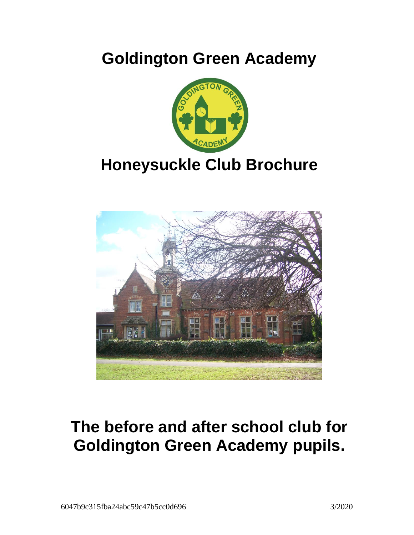# **Goldington Green Academy**



# **Honeysuckle Club Brochure**



# **The before and after school club for Goldington Green Academy pupils.**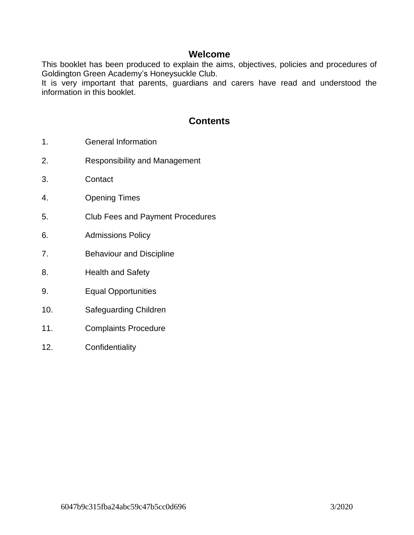#### **Welcome**

This booklet has been produced to explain the aims, objectives, policies and procedures of Goldington Green Academy's Honeysuckle Club.

It is very important that parents, guardians and carers have read and understood the information in this booklet.

#### **Contents**

- 1. General Information
- 2. Responsibility and Management
- 3. Contact
- 4. Opening Times
- 5. Club Fees and Payment Procedures
- 6. Admissions Policy
- 7. Behaviour and Discipline
- 8. Health and Safety
- 9. Equal Opportunities
- 10. Safeguarding Children
- 11. Complaints Procedure
- 12. Confidentiality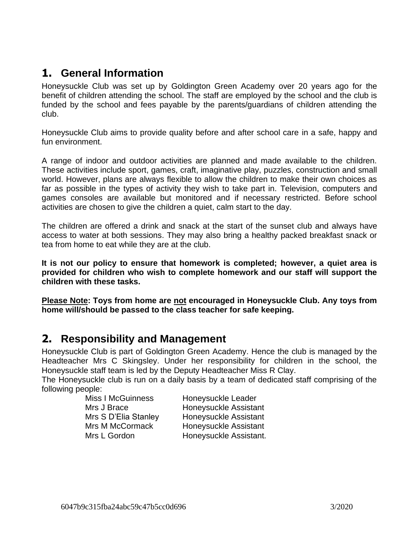### **1. General Information**

Honeysuckle Club was set up by Goldington Green Academy over 20 years ago for the benefit of children attending the school. The staff are employed by the school and the club is funded by the school and fees payable by the parents/guardians of children attending the club.

Honeysuckle Club aims to provide quality before and after school care in a safe, happy and fun environment.

A range of indoor and outdoor activities are planned and made available to the children. These activities include sport, games, craft, imaginative play, puzzles, construction and small world. However, plans are always flexible to allow the children to make their own choices as far as possible in the types of activity they wish to take part in. Television, computers and games consoles are available but monitored and if necessary restricted. Before school activities are chosen to give the children a quiet, calm start to the day.

The children are offered a drink and snack at the start of the sunset club and always have access to water at both sessions. They may also bring a healthy packed breakfast snack or tea from home to eat while they are at the club.

**It is not our policy to ensure that homework is completed; however, a quiet area is provided for children who wish to complete homework and our staff will support the children with these tasks.**

**Please Note: Toys from home are not encouraged in Honeysuckle Club. Any toys from home will/should be passed to the class teacher for safe keeping.**

#### **2. Responsibility and Management**

Honeysuckle Club is part of Goldington Green Academy. Hence the club is managed by the Headteacher Mrs C Skingsley. Under her responsibility for children in the school, the Honeysuckle staff team is led by the Deputy Headteacher Miss R Clay.

The Honeysuckle club is run on a daily basis by a team of dedicated staff comprising of the following people:

| <b>Miss I McGuinness</b> | Honeysuckle Leader     |
|--------------------------|------------------------|
| Mrs J Brace              | Honeysuckle Assistant  |
| Mrs S D'Elia Stanley     | Honeysuckle Assistant  |
| <b>Mrs M McCormack</b>   | Honeysuckle Assistant  |
| Mrs L Gordon             | Honeysuckle Assistant. |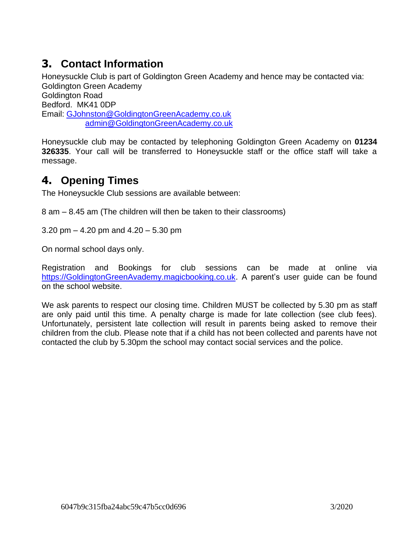# **3. Contact Information**

Honeysuckle Club is part of Goldington Green Academy and hence may be contacted via: Goldington Green Academy Goldington Road Bedford. MK41 0DP Email: [GJohnston@GoldingtonGreenAcademy.co.uk](mailto:GJohnston@GoldingtonGreenAcademy.co.uk) [admin@GoldingtonGreenAcademy.co.uk](mailto:admin@GoldingtonGreenAcademy.co.uk)

Honeysuckle club may be contacted by telephoning Goldington Green Academy on **01234 326335**. Your call will be transferred to Honeysuckle staff or the office staff will take a message.

# **4. Opening Times**

The Honeysuckle Club sessions are available between:

8 am – 8.45 am (The children will then be taken to their classrooms)

3.20 pm – 4.20 pm and 4.20 – 5.30 pm

On normal school days only.

Registration and Bookings for club sessions can be made at online via [https://GoldingtonGreenAvademy.magicbooking.co.uk.](https://goldingtongreenavademy.magicbooking.co.uk/) A parent's user guide can be found on the school website.

We ask parents to respect our closing time. Children MUST be collected by 5.30 pm as staff are only paid until this time. A penalty charge is made for late collection (see club fees). Unfortunately, persistent late collection will result in parents being asked to remove their children from the club. Please note that if a child has not been collected and parents have not contacted the club by 5.30pm the school may contact social services and the police.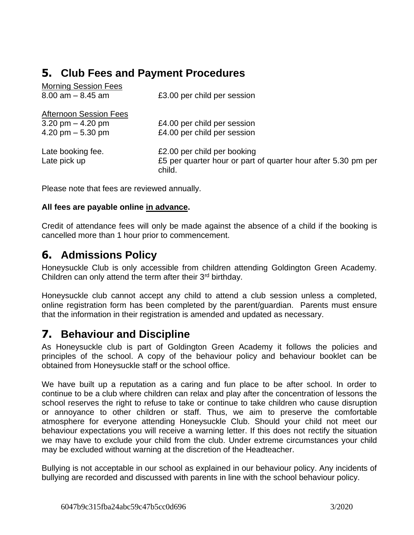# **5. Club Fees and Payment Procedures**

| <b>Morning Session Fees</b>   |                                                                         |
|-------------------------------|-------------------------------------------------------------------------|
| $8.00$ am $- 8.45$ am         | £3.00 per child per session                                             |
| <b>Afternoon Session Fees</b> |                                                                         |
| 3.20 pm $-$ 4.20 pm           | £4.00 per child per session                                             |
| 4.20 pm $-5.30$ pm            | £4.00 per child per session                                             |
| Late booking fee.             | £2.00 per child per booking                                             |
| Late pick up                  | £5 per quarter hour or part of quarter hour after 5.30 pm per<br>child. |

Please note that fees are reviewed annually.

#### **All fees are payable online in advance.**

Credit of attendance fees will only be made against the absence of a child if the booking is cancelled more than 1 hour prior to commencement.

### **6. Admissions Policy**

Honeysuckle Club is only accessible from children attending Goldington Green Academy. Children can only attend the term after their  $3<sup>rd</sup>$  birthday.

Honeysuckle club cannot accept any child to attend a club session unless a completed, online registration form has been completed by the parent/guardian. Parents must ensure that the information in their registration is amended and updated as necessary.

### **7. Behaviour and Discipline**

As Honeysuckle club is part of Goldington Green Academy it follows the policies and principles of the school. A copy of the behaviour policy and behaviour booklet can be obtained from Honeysuckle staff or the school office.

We have built up a reputation as a caring and fun place to be after school. In order to continue to be a club where children can relax and play after the concentration of lessons the school reserves the right to refuse to take or continue to take children who cause disruption or annoyance to other children or staff. Thus, we aim to preserve the comfortable atmosphere for everyone attending Honeysuckle Club. Should your child not meet our behaviour expectations you will receive a warning letter. If this does not rectify the situation we may have to exclude your child from the club. Under extreme circumstances your child may be excluded without warning at the discretion of the Headteacher.

Bullying is not acceptable in our school as explained in our behaviour policy. Any incidents of bullying are recorded and discussed with parents in line with the school behaviour policy.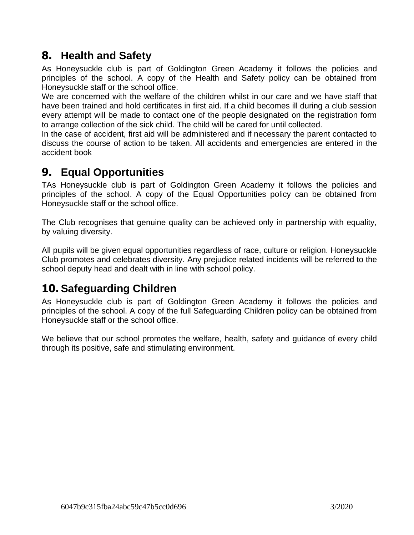## **8. Health and Safety**

As Honeysuckle club is part of Goldington Green Academy it follows the policies and principles of the school. A copy of the Health and Safety policy can be obtained from Honeysuckle staff or the school office.

We are concerned with the welfare of the children whilst in our care and we have staff that have been trained and hold certificates in first aid. If a child becomes ill during a club session every attempt will be made to contact one of the people designated on the registration form to arrange collection of the sick child. The child will be cared for until collected.

In the case of accident, first aid will be administered and if necessary the parent contacted to discuss the course of action to be taken. All accidents and emergencies are entered in the accident book

### **9. Equal Opportunities**

TAs Honeysuckle club is part of Goldington Green Academy it follows the policies and principles of the school. A copy of the Equal Opportunities policy can be obtained from Honeysuckle staff or the school office.

The Club recognises that genuine quality can be achieved only in partnership with equality, by valuing diversity.

All pupils will be given equal opportunities regardless of race, culture or religion. Honeysuckle Club promotes and celebrates diversity. Any prejudice related incidents will be referred to the school deputy head and dealt with in line with school policy.

# **10. Safeguarding Children**

As Honeysuckle club is part of Goldington Green Academy it follows the policies and principles of the school. A copy of the full Safeguarding Children policy can be obtained from Honeysuckle staff or the school office.

We believe that our school promotes the welfare, health, safety and guidance of every child through its positive, safe and stimulating environment.